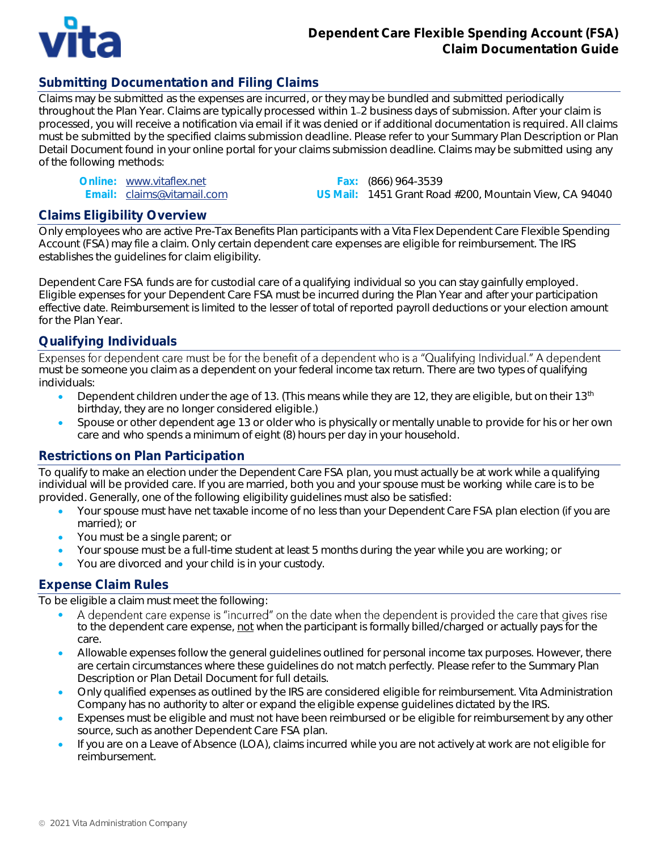

# **Submitting Documentation and Filing Claims**

Claims may be submitted as the expenses are incurred, or they may be bundled and submitted periodically throughout the Plan Year. Claims are typically processed within 1 2 business days of submission. After your claim is processed, you will receive a notification via email if it was denied or if additional documentation is required. All claims must be submitted by the specified claims submission deadline. Please refer to your Summary Plan Description or Plan Detail Document found in your online portal for your claims submission deadline. Claims may be submitted using any of the following methods:

| Online: www.vitaflex.net   |
|----------------------------|
| Email: claims@vitamail.com |

Fax: (866) 964-3539 US Mail: 1451 Grant Road #200, Mountain View, CA 94040

## **Claims Eligibility Overview**

Only employees who are active Pre-Tax Benefits Plan participants with a Vita Flex Dependent Care Flexible Spending Account (FSA) may file a claim. Only certain dependent care expenses are eligible for reimbursement. The IRS establishes the guidelines for claim eligibility.

Dependent Care FSA funds are for custodial care of a qualifying individual so you can stay gainfully employed. Eligible expenses for your Dependent Care FSA must be incurred during the Plan Year and after your participation effective date. Reimbursement is limited to the lesser of total of reported payroll deductions or your election amount for the Plan Year.

## **Qualifying Individuals**

Expenses for dependent care must be for the benefit of a dependent who is a "Qualifying Individual." A dependent must be someone you claim as a dependent on your federal income tax return. There are two types of qualifying individuals:

- Dependent children under the age of 13. (This means while they are 12, they are eligible, but on their 13<sup>th</sup> birthday, they are no longer considered eligible.)
- Spouse or other dependent age 13 or older who is physically or mentally unable to provide for his or her own care and who spends a minimum of eight (8) hours per day in your household.

# **Restrictions on Plan Participation**

To qualify to make an election under the Dependent Care FSA plan, you must actually be at work while a qualifying individual will be provided care. If you are married, both you and your spouse must be working while care is to be provided. Generally, one of the following eligibility guidelines must also be satisfied:

- Your spouse must have net taxable income of no less than your Dependent Care FSA plan election (if you are married); or
- You must be a single parent; or
- Your spouse must be a full-time student at least 5 months during the year while you are working; or
- You are divorced and your child is in your custody.

## **Expense Claim Rules**

To be eligible a claim must meet the following:

- A dependent care expense is "incurred" on the date when the dependent is provided the care that gives rise • to the dependent care expense, not when the participant is formally billed/charged or actually pays for the care.
- Allowable expenses follow the general guidelines outlined for personal income tax purposes. However, there are certain circumstances where these guidelines do not match perfectly. Please refer to the Summary Plan Description or Plan Detail Document for full details.
- Only qualified expenses as outlined by the IRS are considered eligible for reimbursement. Vita Administration Company has no authority to alter or expand the eligible expense guidelines dictated by the IRS.
- Expenses must be eligible and must not have been reimbursed or be eligible for reimbursement by any other source, such as another Dependent Care FSA plan.
- If you are on a Leave of Absence (LOA), claims incurred while you are not actively at work are not eligible for reimbursement.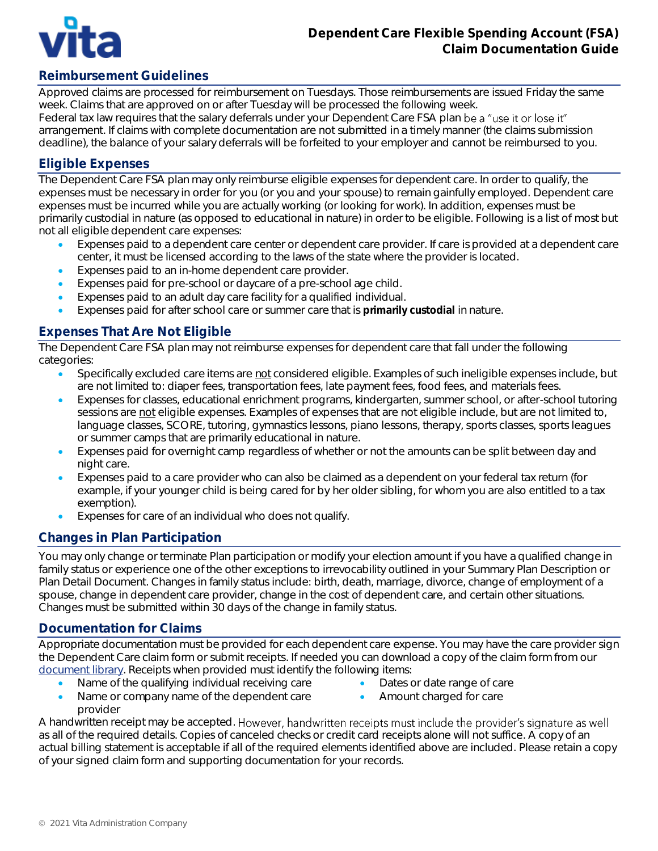

# **Reimbursement Guidelines**

Approved claims are processed for reimbursement on Tuesdays. Those reimbursements are issued Friday the same week. Claims that are approved on or after Tuesday will be processed the following week. Federal tax law requires that the salary deferrals under your Dependent Care FSA plan be a "use it or lose it" arrangement. If claims with complete documentation are not submitted in a timely manner (the claims submission deadline), the balance of your salary deferrals will be forfeited to your employer and cannot be reimbursed to you.

## **Eligible Expenses**

The Dependent Care FSA plan may only reimburse eligible expenses for dependent care. In order to qualify, the expenses must be necessary in order for you (or you and your spouse) to remain gainfully employed. Dependent care expenses must be incurred while you are actually working (or looking for work). In addition, expenses must be primarily custodial in nature (as opposed to educational in nature) in order to be eligible. Following is a list of most but not all eligible dependent care expenses:

- Expenses paid to a dependent care center or dependent care provider. If care is provided at a dependent care center, it must be licensed according to the laws of the state where the provider is located.
- Expenses paid to an in-home dependent care provider.
- Expenses paid for pre-school or daycare of a pre-school age child.
- Expenses paid to an adult day care facility for a qualified individual.
- Expenses paid for after school care or summer care that is primarily custodial in nature.

# **Expenses That Are Not Eligible**

The Dependent Care FSA plan may not reimburse expenses for dependent care that fall under the following categories:

- Specifically excluded care items are *not* considered eligible. Examples of such ineligible expenses include, but are not limited to: diaper fees, transportation fees, late payment fees, food fees, and materials fees.
- Expenses for classes, educational enrichment programs, kindergarten, summer school, or after-school tutoring sessions are not eligible expenses. Examples of expenses that are not eligible include, but are not limited to, language classes, SCORE, tutoring, gymnastics lessons, piano lessons, therapy, sports classes, sports leagues or summer camps that are primarily educational in nature.
- Expenses paid for overnight camp *regardless* of whether or not the amounts can be split between day and night care.
- Expenses paid to a care provider who can also be claimed as a dependent on your federal tax return (for example, if your younger child is being cared for by her older sibling, for whom you are also entitled to a tax exemption).
- Expenses for care of an individual who does not qualify.

# **Changes in Plan Participation**

You may only change or terminate Plan participation or modify your election amount if you have a qualified change in family status or experience one of the other exceptions to irrevocability outlined in your Summary Plan Description or Plan Detail Document. Changes in family status include: birth, death, marriage, divorce, change of employment of a spouse, change in dependent care provider, change in the cost of dependent care, and certain other situations. Changes must be submitted within 30 days of the change in family status.

## **Documentation for Claims**

Appropriate documentation must be provided for each dependent care expense. You may have the care provider sign the Dependent Care claim form or submit receipts. If needed you can download a copy of the claim form from our [document library.](http://www.vitacompanies.com/pre-tax-resources) Receipts when provided must identify the following items:

- Name of the qualifying individual receiving care
- Dates or date range of care
- Name or company name of the dependent care provider
- 
- Amount charged for care

A handwritten receipt may be accepted. However, handwritten receipts must include the provider's signature as well as all of the required details. Copies of canceled checks or credit card receipts alone will not suffice. A copy of an actual billing statement is acceptable if all of the required elements identified above are included. Please retain a copy of your signed claim form and supporting documentation for your records.